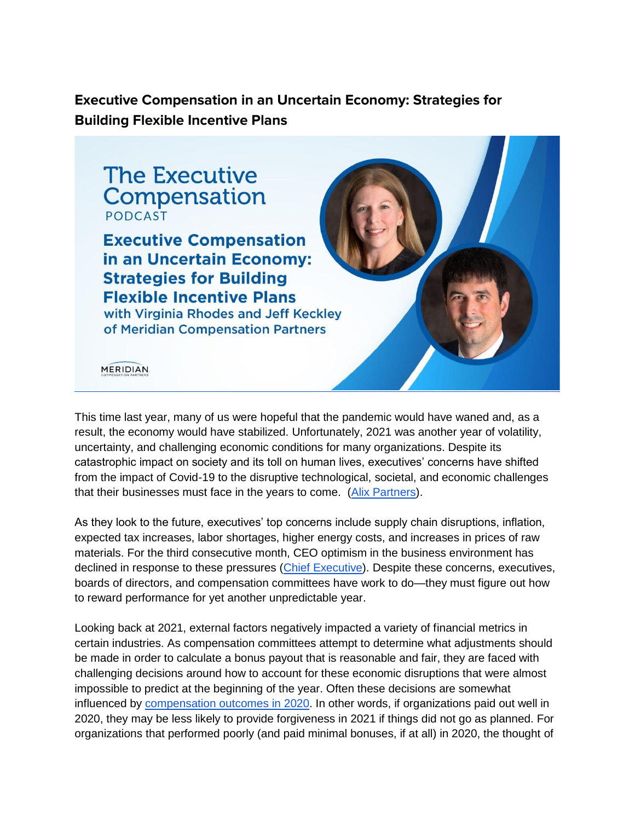**Executive Compensation in an Uncertain Economy: Strategies for Building Flexible Incentive Plans**



**Executive Compensation** in an Uncertain Economy: **Strategies for Building Flexible Incentive Plans** with Virginia Rhodes and Jeff Keckley of Meridian Compensation Partners



**MERIDIAN** 

This time last year, many of us were hopeful that the pandemic would have waned and, as a result, the economy would have stabilized. Unfortunately, 2021 was another year of volatility, uncertainty, and challenging economic conditions for many organizations. Despite its catastrophic impact on society and its toll on human lives, executives' concerns have shifted from the impact of Covid-19 to the disruptive technological, societal, and economic challenges that their businesses must face in the years to come. [\(Alix Partners\)](https://disruption.alixpartners.com/).

As they look to the future, executives' top concerns include supply chain disruptions, inflation, expected tax increases, labor shortages, higher energy costs, and increases in prices of raw materials. For the third consecutive month, CEO optimism in the business environment has declined in response to these pressures [\(Chief Executive\)](https://chiefexecutive.net/ceo-optimism-at-lowest-level-since-fall-of-2019/). Despite these concerns, executives, boards of directors, and compensation committees have work to do—they must figure out how to reward performance for yet another unpredictable year.

Looking back at 2021, external factors negatively impacted a variety of financial metrics in certain industries. As compensation committees attempt to determine what adjustments should be made in order to calculate a bonus payout that is reasonable and fair, they are faced with challenging decisions around how to account for these economic disruptions that were almost impossible to predict at the beginning of the year. Often these decisions are somewhat influenced by [compensation outcomes in 2020.](https://www.meridiancp.com/insights/covid-impact-on-executive-compensation/) In other words, if organizations paid out well in 2020, they may be less likely to provide forgiveness in 2021 if things did not go as planned. For organizations that performed poorly (and paid minimal bonuses, if at all) in 2020, the thought of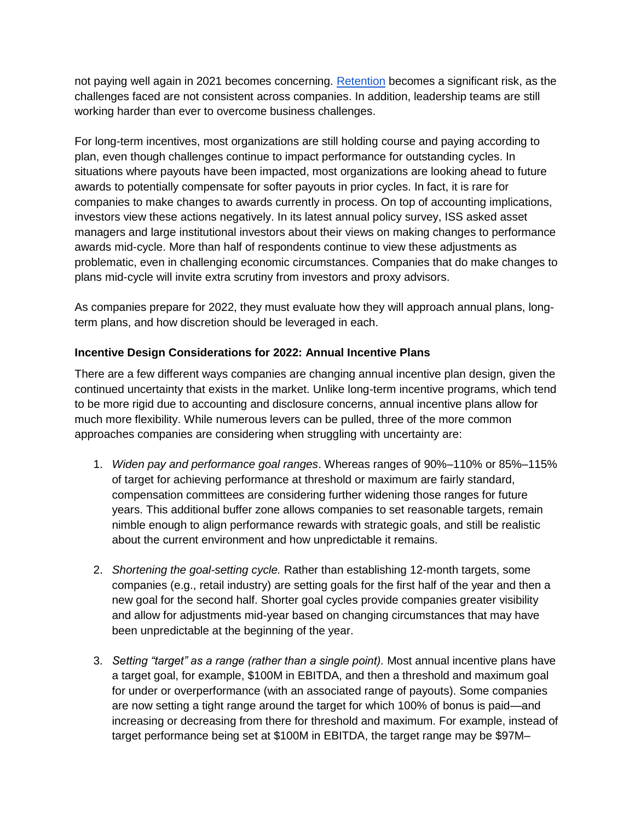not paying well again in 2021 becomes concerning. [Retention](https://www.meridiancp.com/insights/what-are-compensation-committees-discussing-in-2021/) becomes a significant risk, as the challenges faced are not consistent across companies. In addition, leadership teams are still working harder than ever to overcome business challenges.

For long-term incentives, most organizations are still holding course and paying according to plan, even though challenges continue to impact performance for outstanding cycles. In situations where payouts have been impacted, most organizations are looking ahead to future awards to potentially compensate for softer payouts in prior cycles. In fact, it is rare for companies to make changes to awards currently in process. On top of accounting implications, investors view these actions negatively. In its latest annual policy survey, ISS asked asset managers and large institutional investors about their views on making changes to performance awards mid-cycle. More than half of respondents continue to view these adjustments as problematic, even in challenging economic circumstances. Companies that do make changes to plans mid-cycle will invite extra scrutiny from investors and proxy advisors.

As companies prepare for 2022, they must evaluate how they will approach annual plans, longterm plans, and how discretion should be leveraged in each.

## **Incentive Design Considerations for 2022: Annual Incentive Plans**

There are a few different ways companies are changing annual incentive plan design, given the continued uncertainty that exists in the market. Unlike long-term incentive programs, which tend to be more rigid due to accounting and disclosure concerns, annual incentive plans allow for much more flexibility. While numerous levers can be pulled, three of the more common approaches companies are considering when struggling with uncertainty are:

- 1. *Widen pay and performance goal ranges*. Whereas ranges of 90%–110% or 85%–115% of target for achieving performance at threshold or maximum are fairly standard, compensation committees are considering further widening those ranges for future years. This additional buffer zone allows companies to set reasonable targets, remain nimble enough to align performance rewards with strategic goals, and still be realistic about the current environment and how unpredictable it remains.
- 2. *Shortening the goal-setting cycle.* Rather than establishing 12-month targets, some companies (e.g., retail industry) are setting goals for the first half of the year and then a new goal for the second half. Shorter goal cycles provide companies greater visibility and allow for adjustments mid-year based on changing circumstances that may have been unpredictable at the beginning of the year.
- 3. *Setting "target" as a range (rather than a single point).* Most annual incentive plans have a target goal, for example, \$100M in EBITDA, and then a threshold and maximum goal for under or overperformance (with an associated range of payouts). Some companies are now setting a tight range around the target for which 100% of bonus is paid—and increasing or decreasing from there for threshold and maximum. For example, instead of target performance being set at \$100M in EBITDA, the target range may be \$97M–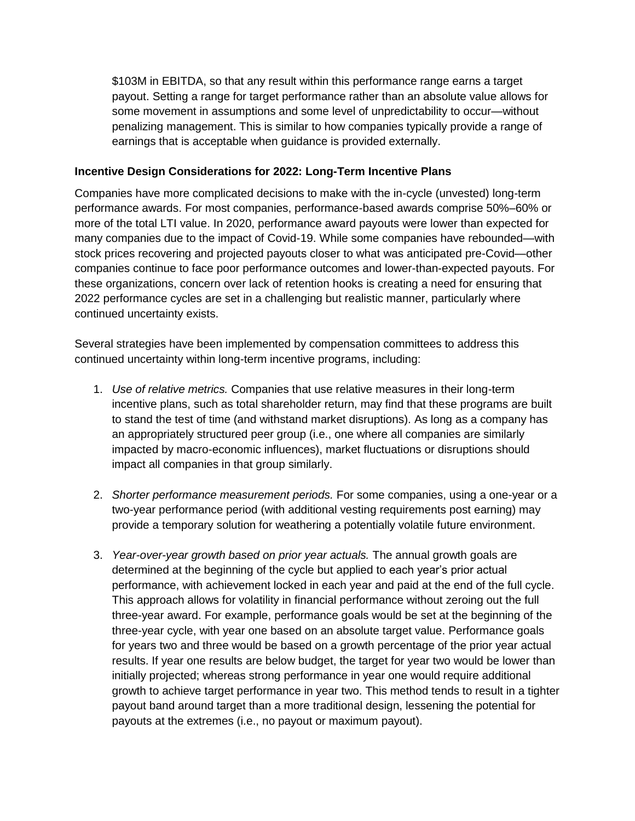\$103M in EBITDA, so that any result within this performance range earns a target payout. Setting a range for target performance rather than an absolute value allows for some movement in assumptions and some level of unpredictability to occur—without penalizing management. This is similar to how companies typically provide a range of earnings that is acceptable when guidance is provided externally.

## **Incentive Design Considerations for 2022: Long-Term Incentive Plans**

Companies have more complicated decisions to make with the in-cycle (unvested) long-term performance awards. For most companies, performance-based awards comprise 50%–60% or more of the total LTI value. In 2020, performance award payouts were lower than expected for many companies due to the impact of Covid-19. While some companies have rebounded—with stock prices recovering and projected payouts closer to what was anticipated pre-Covid—other companies continue to face poor performance outcomes and lower-than-expected payouts. For these organizations, concern over lack of retention hooks is creating a need for ensuring that 2022 performance cycles are set in a challenging but realistic manner, particularly where continued uncertainty exists.

Several strategies have been implemented by compensation committees to address this continued uncertainty within long-term incentive programs, including:

- 1. *Use of relative metrics.* Companies that use relative measures in their long-term incentive plans, such as total shareholder return, may find that these programs are built to stand the test of time (and withstand market disruptions). As long as a company has an appropriately structured peer group (i.e., one where all companies are similarly impacted by macro-economic influences), market fluctuations or disruptions should impact all companies in that group similarly.
- 2. *Shorter performance measurement periods.* For some companies, using a one-year or a two-year performance period (with additional vesting requirements post earning) may provide a temporary solution for weathering a potentially volatile future environment.
- 3. *Year-over-year growth based on prior year actuals.* The annual growth goals are determined at the beginning of the cycle but applied to each year's prior actual performance, with achievement locked in each year and paid at the end of the full cycle. This approach allows for volatility in financial performance without zeroing out the full three-year award. For example, performance goals would be set at the beginning of the three-year cycle, with year one based on an absolute target value. Performance goals for years two and three would be based on a growth percentage of the prior year actual results. If year one results are below budget, the target for year two would be lower than initially projected; whereas strong performance in year one would require additional growth to achieve target performance in year two. This method tends to result in a tighter payout band around target than a more traditional design, lessening the potential for payouts at the extremes (i.e., no payout or maximum payout).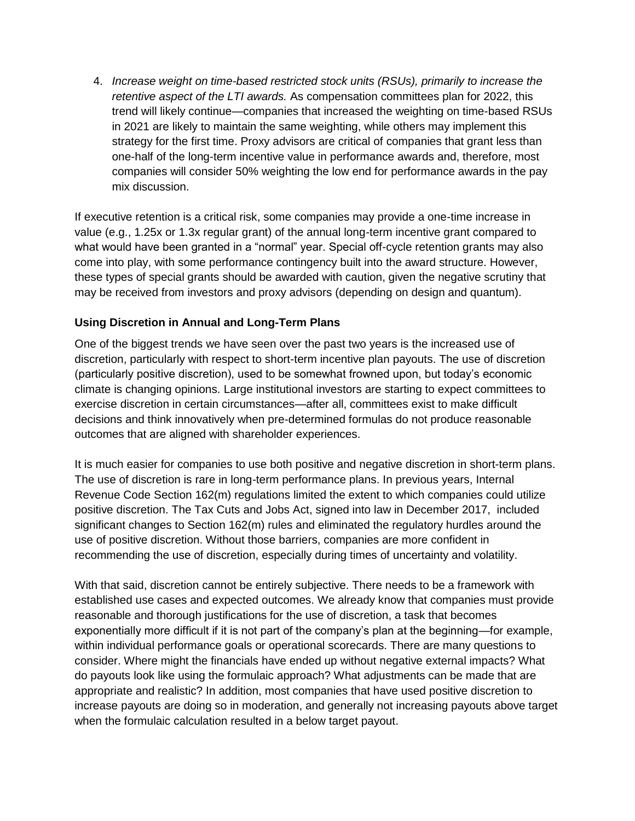4. *Increase weight on time-based restricted stock units (RSUs), primarily to increase the retentive aspect of the LTI awards.* As compensation committees plan for 2022, this trend will likely continue—companies that increased the weighting on time-based RSUs in 2021 are likely to maintain the same weighting, while others may implement this strategy for the first time. Proxy advisors are critical of companies that grant less than one-half of the long-term incentive value in performance awards and, therefore, most companies will consider 50% weighting the low end for performance awards in the pay mix discussion.

If executive retention is a critical risk, some companies may provide a one-time increase in value (e.g., 1.25x or 1.3x regular grant) of the annual long-term incentive grant compared to what would have been granted in a "normal" year. Special off-cycle retention grants may also come into play, with some performance contingency built into the award structure. However, these types of special grants should be awarded with caution, given the negative scrutiny that may be received from investors and proxy advisors (depending on design and quantum).

## **Using Discretion in Annual and Long-Term Plans**

One of the biggest trends we have seen over the past two years is the increased use of discretion, particularly with respect to short-term incentive plan payouts. The use of discretion (particularly positive discretion), used to be somewhat frowned upon, but today's economic climate is changing opinions. Large institutional investors are starting to expect committees to exercise discretion in certain circumstances—after all, committees exist to make difficult decisions and think innovatively when pre-determined formulas do not produce reasonable outcomes that are aligned with shareholder experiences.

It is much easier for companies to use both positive and negative discretion in short-term plans. The use of discretion is rare in long-term performance plans. In previous years, Internal Revenue Code Section 162(m) regulations limited the extent to which companies could utilize positive discretion. The Tax Cuts and Jobs Act, signed into law in December 2017, included significant changes to Section 162(m) rules and eliminated the regulatory hurdles around the use of positive discretion. Without those barriers, companies are more confident in recommending the use of discretion, especially during times of uncertainty and volatility.

With that said, discretion cannot be entirely subjective. There needs to be a framework with established use cases and expected outcomes. We already know that companies must provide reasonable and thorough justifications for the use of discretion, a task that becomes exponentially more difficult if it is not part of the company's plan at the beginning—for example, within individual performance goals or operational scorecards. There are many questions to consider. Where might the financials have ended up without negative external impacts? What do payouts look like using the formulaic approach? What adjustments can be made that are appropriate and realistic? In addition, most companies that have used positive discretion to increase payouts are doing so in moderation, and generally not increasing payouts above target when the formulaic calculation resulted in a below target payout.